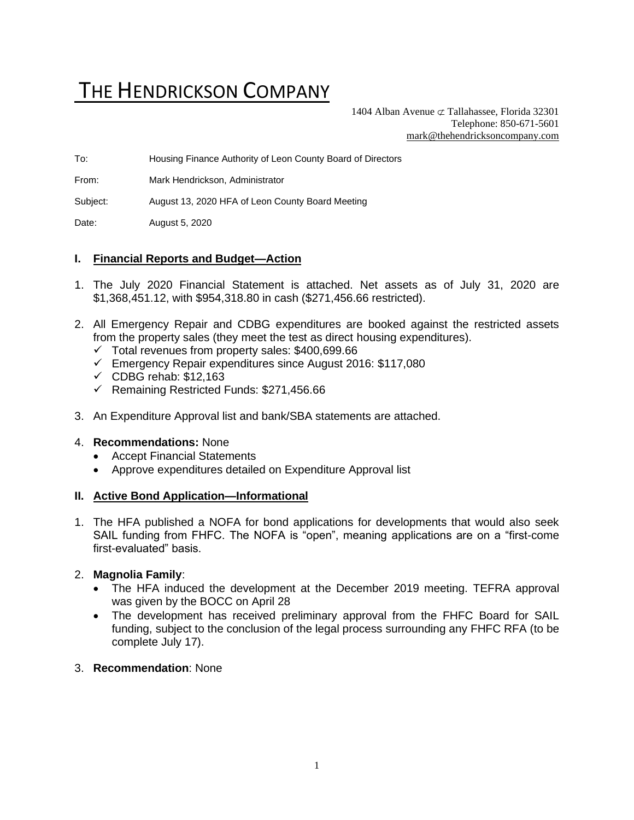# THE HENDRICKSON COMPANY

1404 Alban Avenue  $\sigma$  Tallahassee, Florida 32301 Telephone: 850-671-5601 [mark@thehendricksoncompany.com](mailto:mark@thehendricksoncompany.com)

To: Housing Finance Authority of Leon County Board of Directors

From: Mark Hendrickson, Administrator

Subject: August 13, 2020 HFA of Leon County Board Meeting

Date: August 5, 2020

## **I. Financial Reports and Budget—Action**

- 1. The July 2020 Financial Statement is attached. Net assets as of July 31, 2020 are \$1,368,451.12, with \$954,318.80 in cash (\$271,456.66 restricted).
- 2. All Emergency Repair and CDBG expenditures are booked against the restricted assets from the property sales (they meet the test as direct housing expenditures).
	- $\checkmark$  Total revenues from property sales: \$400,699.66
	- ✓ Emergency Repair expenditures since August 2016: \$117,080
	- $\checkmark$  CDBG rehab: \$12,163
	- ✓ Remaining Restricted Funds: \$271,456.66
- 3. An Expenditure Approval list and bank/SBA statements are attached.

#### 4. **Recommendations:** None

- Accept Financial Statements
- Approve expenditures detailed on Expenditure Approval list

#### **II. Active Bond Application—Informational**

1. The HFA published a NOFA for bond applications for developments that would also seek SAIL funding from FHFC. The NOFA is "open", meaning applications are on a "first-come first-evaluated" basis.

#### 2. **Magnolia Family**:

- The HFA induced the development at the December 2019 meeting. TEFRA approval was given by the BOCC on April 28
- The development has received preliminary approval from the FHFC Board for SAIL funding, subject to the conclusion of the legal process surrounding any FHFC RFA (to be complete July 17).

#### 3. **Recommendation**: None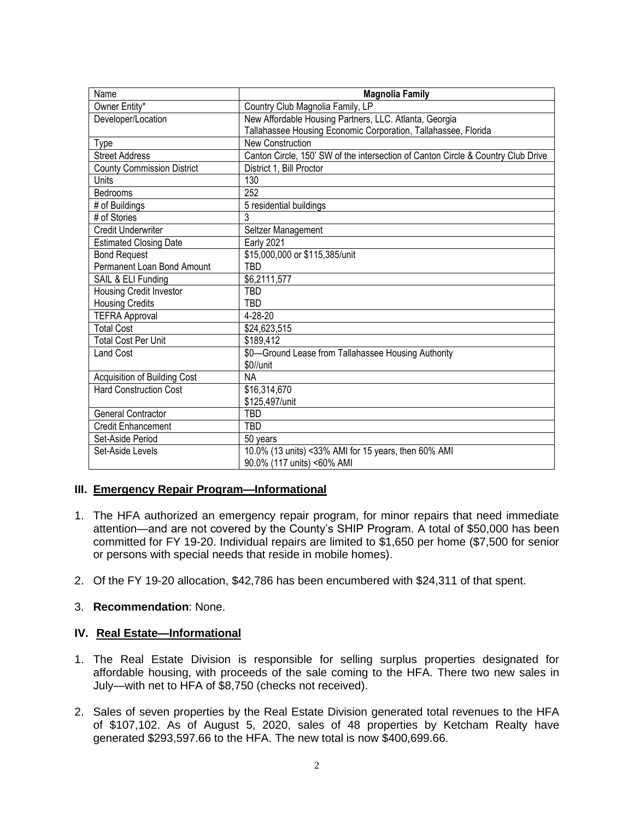| Name                                | <b>Magnolia Family</b>                                                           |
|-------------------------------------|----------------------------------------------------------------------------------|
| Owner Entity*                       | Country Club Magnolia Family, LP                                                 |
| Developer/Location                  | New Affordable Housing Partners, LLC. Atlanta, Georgia                           |
|                                     | Tallahassee Housing Economic Corporation, Tallahassee, Florida                   |
| Type                                | <b>New Construction</b>                                                          |
| Street Address                      | Canton Circle, 150' SW of the intersection of Canton Circle & Country Club Drive |
| <b>County Commission District</b>   | District 1, Bill Proctor                                                         |
| Units                               | 130                                                                              |
| Bedrooms                            | 252                                                                              |
| # of Buildings                      | 5 residential buildings                                                          |
| # of Stories                        | 3                                                                                |
| <b>Credit Underwriter</b>           | Seltzer Management                                                               |
| <b>Estimated Closing Date</b>       | <b>Early 2021</b>                                                                |
| <b>Bond Request</b>                 | \$15,000,000 or \$115,385/unit                                                   |
| Permanent Loan Bond Amount          | TBD                                                                              |
| SAIL & ELI Funding                  | \$6,2111,577                                                                     |
| <b>Housing Credit Investor</b>      | TBD                                                                              |
| <b>Housing Credits</b>              | TBD                                                                              |
| <b>TEFRA Approval</b>               | 4-28-20                                                                          |
| <b>Total Cost</b>                   | \$24,623,515                                                                     |
| <b>Total Cost Per Unit</b>          | \$189,412                                                                        |
| <b>Land Cost</b>                    | \$0-Ground Lease from Tallahassee Housing Authority                              |
|                                     | \$0//unit                                                                        |
| <b>Acquisition of Building Cost</b> | <b>NA</b>                                                                        |
| <b>Hard Construction Cost</b>       | \$16,314,670                                                                     |
|                                     | \$125,497/unit                                                                   |
| <b>General Contractor</b>           | <b>TBD</b>                                                                       |
| <b>Credit Enhancement</b>           | TBD                                                                              |
| Set-Aside Period                    | 50 years                                                                         |
| Set-Aside Levels                    | 10.0% (13 units) <33% AMI for 15 years, then 60% AMI                             |
|                                     | 90.0% (117 units) <60% AMI                                                       |

# **III. Emergency Repair Program—Informational**

- 1. The HFA authorized an emergency repair program, for minor repairs that need immediate attention—and are not covered by the County's SHIP Program. A total of \$50,000 has been committed for FY 19-20. Individual repairs are limited to \$1,650 per home (\$7,500 for senior or persons with special needs that reside in mobile homes).
- 2. Of the FY 19-20 allocation, \$42,786 has been encumbered with \$24,311 of that spent.
- 3. **Recommendation**: None.

# **IV. Real Estate—Informational**

- 1. The Real Estate Division is responsible for selling surplus properties designated for affordable housing, with proceeds of the sale coming to the HFA. There two new sales in July—with net to HFA of \$8,750 (checks not received).
- 2. Sales of seven properties by the Real Estate Division generated total revenues to the HFA of \$107,102. As of August 5, 2020, sales of 48 properties by Ketcham Realty have generated \$293,597.66 to the HFA. The new total is now \$400,699.66.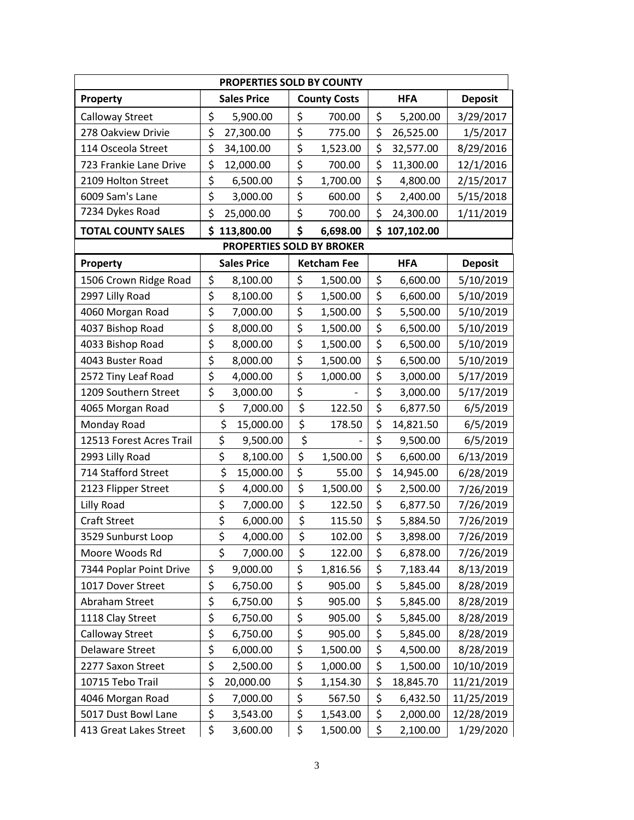| PROPERTIES SOLD BY COUNTY |                 |                           |                     |                    |    |              |                |  |  |
|---------------------------|-----------------|---------------------------|---------------------|--------------------|----|--------------|----------------|--|--|
| Property                  |                 | <b>Sales Price</b>        | <b>County Costs</b> |                    |    | <b>HFA</b>   | <b>Deposit</b> |  |  |
| Calloway Street           | \$              | 5,900.00                  | \$                  | 700.00             | \$ | 5,200.00     | 3/29/2017      |  |  |
| 278 Oakview Drivie        | \$<br>27,300.00 |                           | \$                  | 775.00             | \$ | 26,525.00    | 1/5/2017       |  |  |
| 114 Osceola Street        | \$              | 34,100.00                 | \$                  | 1,523.00           | \$ | 32,577.00    | 8/29/2016      |  |  |
| 723 Frankie Lane Drive    | \$              | 12,000.00                 | \$                  | 700.00             | \$ | 11,300.00    | 12/1/2016      |  |  |
| 2109 Holton Street        | \$              | 6,500.00                  | \$                  | 1,700.00           | \$ | 4,800.00     | 2/15/2017      |  |  |
| 6009 Sam's Lane           | \$              | 3,000.00                  | \$                  | 600.00             | \$ | 2,400.00     | 5/15/2018      |  |  |
| 7234 Dykes Road           | \$              | 25,000.00                 | \$                  | 700.00             | \$ | 24,300.00    | 1/11/2019      |  |  |
| <b>TOTAL COUNTY SALES</b> | \$              | 113,800.00                | \$                  | 6,698.00           |    | \$107,102.00 |                |  |  |
|                           |                 | PROPERTIES SOLD BY BROKER |                     |                    |    |              |                |  |  |
| Property                  |                 | <b>Sales Price</b>        |                     | <b>Ketcham Fee</b> |    | <b>HFA</b>   | <b>Deposit</b> |  |  |
| 1506 Crown Ridge Road     | \$              | 8,100.00                  | \$                  | 1,500.00           | \$ | 6,600.00     | 5/10/2019      |  |  |
| 2997 Lilly Road           | \$              | 8,100.00                  | \$                  | 1,500.00           | \$ | 6,600.00     | 5/10/2019      |  |  |
| 4060 Morgan Road          | \$              | 7,000.00                  | \$                  | 1,500.00           | \$ | 5,500.00     | 5/10/2019      |  |  |
| 4037 Bishop Road          | \$              | 8,000.00                  | \$                  | 1,500.00           | \$ | 6,500.00     | 5/10/2019      |  |  |
| 4033 Bishop Road          | \$              | 8,000.00                  | \$                  | 1,500.00           | \$ | 6,500.00     | 5/10/2019      |  |  |
| 4043 Buster Road          | \$              | 8,000.00                  | \$                  | 1,500.00           | \$ | 6,500.00     | 5/10/2019      |  |  |
| 2572 Tiny Leaf Road       | \$              | 4,000.00                  | \$                  | 1,000.00           | \$ | 3,000.00     | 5/17/2019      |  |  |
| 1209 Southern Street      | \$              | 3,000.00                  | \$                  |                    | \$ | 3,000.00     | 5/17/2019      |  |  |
| 4065 Morgan Road          | \$              | 7,000.00                  | \$                  | 122.50             | \$ | 6,877.50     | 6/5/2019       |  |  |
| Monday Road               | \$              | 15,000.00                 | \$                  | 178.50             | \$ | 14,821.50    | 6/5/2019       |  |  |
| 12513 Forest Acres Trail  | \$              | 9,500.00                  | \$                  |                    | \$ | 9,500.00     | 6/5/2019       |  |  |
| 2993 Lilly Road           | \$              | 8,100.00                  | \$                  | 1,500.00           | \$ | 6,600.00     | 6/13/2019      |  |  |
| 714 Stafford Street       | \$              | 15,000.00                 | \$                  | 55.00              | \$ | 14,945.00    | 6/28/2019      |  |  |
| 2123 Flipper Street       | \$              | 4,000.00                  | \$                  | 1,500.00           | \$ | 2,500.00     | 7/26/2019      |  |  |
| Lilly Road                | \$              | 7,000.00                  | \$                  | 122.50             | \$ | 6,877.50     | 7/26/2019      |  |  |
| <b>Craft Street</b>       | \$              | 6,000.00                  | \$                  | 115.50             | \$ | 5,884.50     | 7/26/2019      |  |  |
| 3529 Sunburst Loop        | \$              | 4,000.00                  | \$                  | 102.00             | \$ | 3,898.00     | 7/26/2019      |  |  |
| Moore Woods Rd            | \$              | 7,000.00                  | \$                  | 122.00             | \$ | 6,878.00     | 7/26/2019      |  |  |
| 7344 Poplar Point Drive   | \$              | 9,000.00                  | \$                  | 1,816.56           | \$ | 7,183.44     | 8/13/2019      |  |  |
| 1017 Dover Street         | \$              | 6,750.00                  | \$                  | 905.00             | \$ | 5,845.00     | 8/28/2019      |  |  |
| Abraham Street            | \$              | 6,750.00                  | \$                  | 905.00             | \$ | 5,845.00     | 8/28/2019      |  |  |
| 1118 Clay Street          | \$              | 6,750.00                  | \$                  | 905.00             | \$ | 5,845.00     | 8/28/2019      |  |  |
| Calloway Street           | \$              | 6,750.00                  | \$                  | 905.00             | \$ | 5,845.00     | 8/28/2019      |  |  |
| Delaware Street           | \$              | 6,000.00                  | \$                  | 1,500.00           | \$ | 4,500.00     | 8/28/2019      |  |  |
| 2277 Saxon Street         | \$              | 2,500.00                  | \$                  | 1,000.00           | \$ | 1,500.00     | 10/10/2019     |  |  |
| 10715 Tebo Trail          | \$              | 20,000.00                 | \$                  | 1,154.30           | \$ | 18,845.70    | 11/21/2019     |  |  |
| 4046 Morgan Road          | \$              | 7,000.00                  | \$                  | 567.50             | \$ | 6,432.50     | 11/25/2019     |  |  |
| 5017 Dust Bowl Lane       | \$              | 3,543.00                  | \$                  | 1,543.00           | \$ | 2,000.00     | 12/28/2019     |  |  |
| 413 Great Lakes Street    | \$              | 3,600.00                  | \$                  | 1,500.00           | \$ | 2,100.00     | 1/29/2020      |  |  |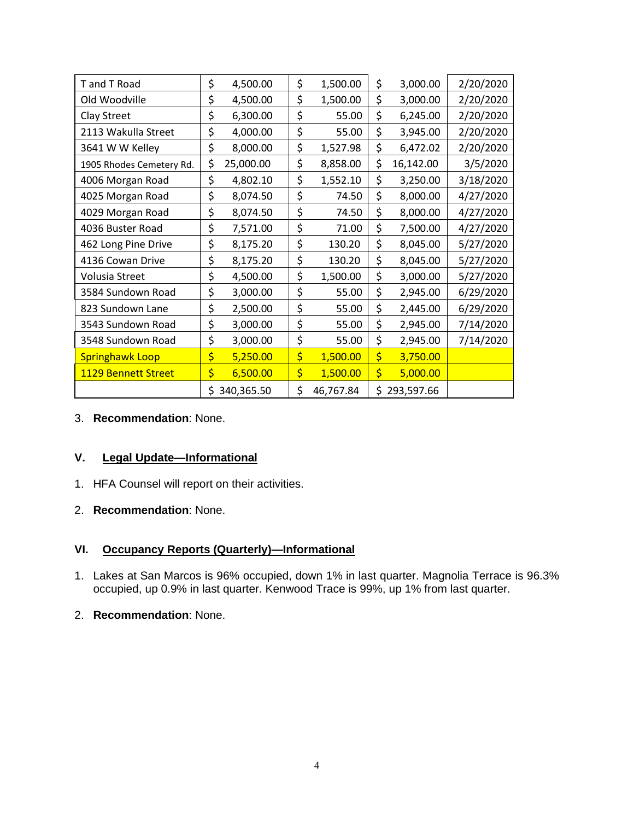| T and T Road             | \$               | 4,500.00  | \$<br>1,500.00  | \$<br>3,000.00   | 2/20/2020 |
|--------------------------|------------------|-----------|-----------------|------------------|-----------|
| Old Woodville            | \$               | 4,500.00  | \$<br>1,500.00  | \$<br>3,000.00   | 2/20/2020 |
| Clay Street              | \$               | 6,300.00  | \$<br>55.00     | \$<br>6,245.00   | 2/20/2020 |
| 2113 Wakulla Street      | \$               | 4,000.00  | \$<br>55.00     | \$<br>3,945.00   | 2/20/2020 |
| 3641 W W Kelley          | \$               | 8,000.00  | \$<br>1,527.98  | \$<br>6,472.02   | 2/20/2020 |
| 1905 Rhodes Cemetery Rd. | \$               | 25,000.00 | \$<br>8,858.00  | \$<br>16,142.00  | 3/5/2020  |
| 4006 Morgan Road         | \$               | 4,802.10  | \$<br>1,552.10  | \$<br>3,250.00   | 3/18/2020 |
| 4025 Morgan Road         | \$               | 8,074.50  | \$<br>74.50     | \$<br>8,000.00   | 4/27/2020 |
| 4029 Morgan Road         | \$               | 8,074.50  | \$<br>74.50     | \$<br>8,000.00   | 4/27/2020 |
| 4036 Buster Road         | \$               | 7,571.00  | \$<br>71.00     | \$<br>7,500.00   | 4/27/2020 |
| 462 Long Pine Drive      | \$               | 8,175.20  | \$<br>130.20    | \$<br>8,045.00   | 5/27/2020 |
| 4136 Cowan Drive         | \$               | 8,175.20  | \$<br>130.20    | \$<br>8,045.00   | 5/27/2020 |
| Volusia Street           | \$               | 4,500.00  | \$<br>1,500.00  | \$<br>3,000.00   | 5/27/2020 |
| 3584 Sundown Road        | \$               | 3,000.00  | \$<br>55.00     | \$<br>2,945.00   | 6/29/2020 |
| 823 Sundown Lane         | \$               | 2,500.00  | \$<br>55.00     | \$<br>2,445.00   | 6/29/2020 |
| 3543 Sundown Road        | \$               | 3,000.00  | \$<br>55.00     | \$<br>2,945.00   | 7/14/2020 |
| 3548 Sundown Road        | \$               | 3,000.00  | \$<br>55.00     | \$<br>2,945.00   | 7/14/2020 |
| <b>Springhawk Loop</b>   | \$               | 5,250.00  | \$<br>1,500.00  | \$<br>3,750.00   |           |
| 1129 Bennett Street      | \$               | 6,500.00  | \$<br>1,500.00  | \$<br>5,000.00   |           |
|                          | \$<br>340,365.50 |           | \$<br>46,767.84 | \$<br>293,597.66 |           |

3. **Recommendation**: None.

## **V. Legal Update—Informational**

- 1. HFA Counsel will report on their activities.
- 2. **Recommendation**: None.

# **VI. Occupancy Reports (Quarterly)—Informational**

- 1. Lakes at San Marcos is 96% occupied, down 1% in last quarter. Magnolia Terrace is 96.3% occupied, up 0.9% in last quarter. Kenwood Trace is 99%, up 1% from last quarter.
- 2. **Recommendation**: None.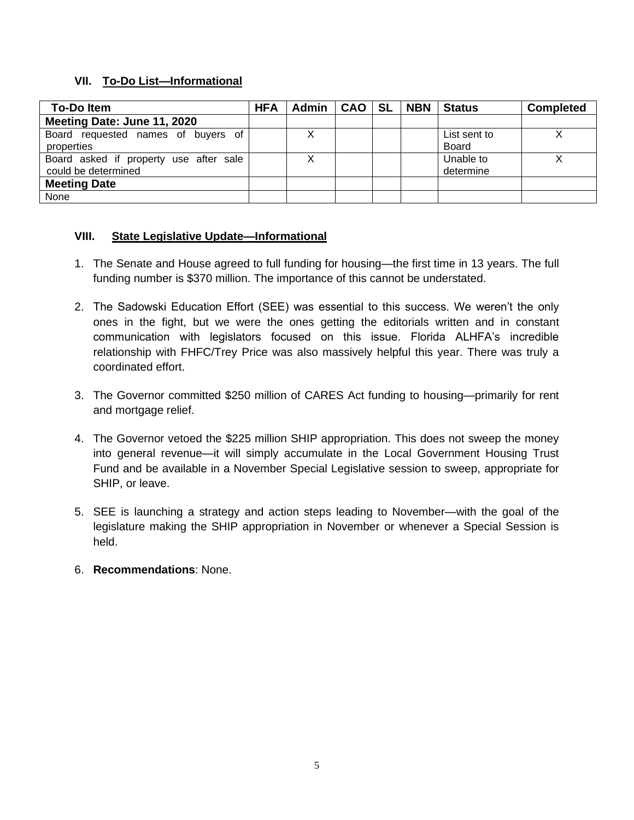# **VII. To-Do List—Informational**

| <b>To-Doltem</b>                                              | <b>HFA</b> | Admin | CAO SL | <b>NBN</b> | <b>Status</b>                | <b>Completed</b> |
|---------------------------------------------------------------|------------|-------|--------|------------|------------------------------|------------------|
| Meeting Date: June 11, 2020                                   |            |       |        |            |                              |                  |
| Board requested names of buyers of<br>properties              |            |       |        |            | List sent to<br><b>Board</b> |                  |
| Board asked if property use after sale<br>could be determined |            | х     |        |            | Unable to<br>determine       |                  |
| <b>Meeting Date</b>                                           |            |       |        |            |                              |                  |
| None                                                          |            |       |        |            |                              |                  |

# **VIII. State Legislative Update—Informational**

- 1. The Senate and House agreed to full funding for housing—the first time in 13 years. The full funding number is \$370 million. The importance of this cannot be understated.
- 2. The Sadowski Education Effort (SEE) was essential to this success. We weren't the only ones in the fight, but we were the ones getting the editorials written and in constant communication with legislators focused on this issue. Florida ALHFA's incredible relationship with FHFC/Trey Price was also massively helpful this year. There was truly a coordinated effort.
- 3. The Governor committed \$250 million of CARES Act funding to housing—primarily for rent and mortgage relief.
- 4. The Governor vetoed the \$225 million SHIP appropriation. This does not sweep the money into general revenue—it will simply accumulate in the Local Government Housing Trust Fund and be available in a November Special Legislative session to sweep, appropriate for SHIP, or leave.
- 5. SEE is launching a strategy and action steps leading to November—with the goal of the legislature making the SHIP appropriation in November or whenever a Special Session is held.
- 6. **Recommendations**: None.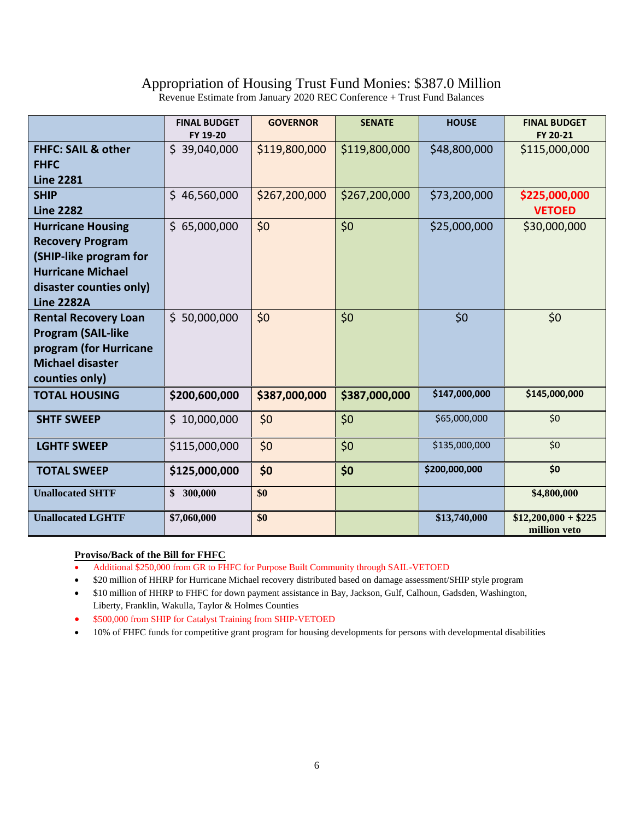# Appropriation of Housing Trust Fund Monies: \$387.0 Million

Revenue Estimate from January 2020 REC Conference + Trust Fund Balances

|                                                     | <b>FINAL BUDGET</b><br>FY 19-20 | <b>GOVERNOR</b> | <b>SENATE</b> | <b>HOUSE</b>  | <b>FINAL BUDGET</b><br>FY 20-21      |
|-----------------------------------------------------|---------------------------------|-----------------|---------------|---------------|--------------------------------------|
| <b>FHFC: SAIL &amp; other</b><br><b>FHFC</b>        | \$39,040,000                    | \$119,800,000   | \$119,800,000 | \$48,800,000  | \$115,000,000                        |
| <b>Line 2281</b><br><b>SHIP</b>                     | \$46,560,000                    | \$267,200,000   | \$267,200,000 | \$73,200,000  |                                      |
| <b>Line 2282</b>                                    |                                 |                 |               |               | \$225,000,000<br><b>VETOED</b>       |
| <b>Hurricane Housing</b>                            | \$65,000,000                    | \$0             | \$0           | \$25,000,000  | \$30,000,000                         |
| <b>Recovery Program</b>                             |                                 |                 |               |               |                                      |
| (SHIP-like program for                              |                                 |                 |               |               |                                      |
| <b>Hurricane Michael</b><br>disaster counties only) |                                 |                 |               |               |                                      |
| <b>Line 2282A</b>                                   |                                 |                 |               |               |                                      |
| <b>Rental Recovery Loan</b>                         | \$50,000,000                    | \$0             | \$0           | \$0           | \$0                                  |
| <b>Program (SAIL-like</b>                           |                                 |                 |               |               |                                      |
| program (for Hurricane                              |                                 |                 |               |               |                                      |
| <b>Michael disaster</b>                             |                                 |                 |               |               |                                      |
| counties only)<br><b>TOTAL HOUSING</b>              | \$200,600,000                   | \$387,000,000   | \$387,000,000 | \$147,000,000 | \$145,000,000                        |
|                                                     |                                 |                 |               |               |                                      |
| <b>SHTF SWEEP</b>                                   | \$10,000,000                    | \$0             | \$0\$         | \$65,000,000  | \$0                                  |
| <b>LGHTF SWEEP</b>                                  | \$115,000,000                   | \$0             | \$0\$         | \$135,000,000 | \$0                                  |
| <b>TOTAL SWEEP</b>                                  | \$125,000,000                   | \$0             | \$0           | \$200,000,000 | \$0                                  |
| <b>Unallocated SHTF</b>                             | \$300,000                       | \$0             |               |               | \$4,800,000                          |
| <b>Unallocated LGHTF</b>                            | \$7,060,000                     | \$0             |               | \$13,740,000  | $$12,200,000 + $225$<br>million veto |

## **Proviso/Back of the Bill for FHFC**

• Additional \$250,000 from GR to FHFC for Purpose Built Community through SAIL-VETOED

• \$20 million of HHRP for Hurricane Michael recovery distributed based on damage assessment/SHIP style program

• \$10 million of HHRP to FHFC for down payment assistance in Bay, Jackson, Gulf, Calhoun, Gadsden, Washington, Liberty, Franklin, Wakulla, Taylor & Holmes Counties

• \$500,000 from SHIP for Catalyst Training from SHIP-VETOED

• 10% of FHFC funds for competitive grant program for housing developments for persons with developmental disabilities